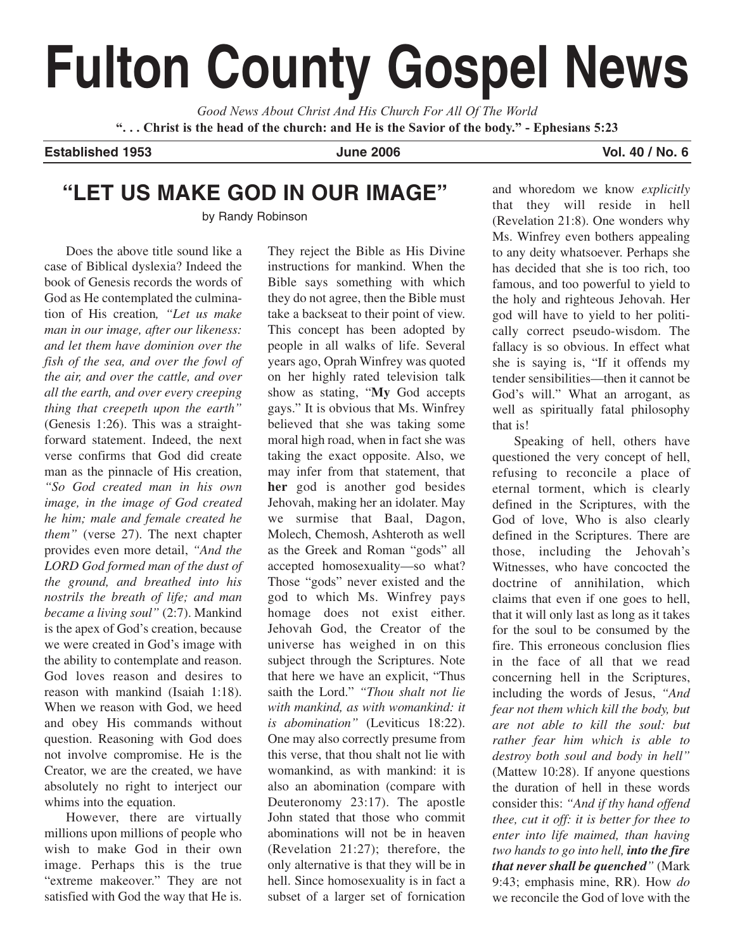# **Fulton County Gospel News**

*Good News About Christ And His Church For All Of The World* **". . . Christ is the head of the church: and He is the Savior of the body." - Ephesians 5:23**

**Established 1953 June 2006 Vol. 40 / No. 6**

# **"LET US MAKE GOD IN OUR IMAGE"**

by Randy Robinson

Does the above title sound like a case of Biblical dyslexia? Indeed the book of Genesis records the words of God as He contemplated the culmination of His creation*, "Let us make man in our image, after our likeness: and let them have dominion over the fish of the sea, and over the fowl of the air, and over the cattle, and over all the earth, and over every creeping thing that creepeth upon the earth"* (Genesis 1:26). This was a straightforward statement. Indeed, the next verse confirms that God did create man as the pinnacle of His creation, *"So God created man in his own image, in the image of God created he him; male and female created he them"* (verse 27). The next chapter provides even more detail, *"And the LORD God formed man of the dust of the ground, and breathed into his nostrils the breath of life; and man became a living soul"* (2:7). Mankind is the apex of God's creation, because we were created in God's image with the ability to contemplate and reason. God loves reason and desires to reason with mankind (Isaiah 1:18). When we reason with God, we heed and obey His commands without question. Reasoning with God does not involve compromise. He is the Creator, we are the created, we have absolutely no right to interject our whims into the equation.

However, there are virtually millions upon millions of people who wish to make God in their own image. Perhaps this is the true "extreme makeover." They are not satisfied with God the way that He is. They reject the Bible as His Divine instructions for mankind. When the Bible says something with which they do not agree, then the Bible must take a backseat to their point of view. This concept has been adopted by people in all walks of life. Several years ago, Oprah Winfrey was quoted on her highly rated television talk show as stating, "**My** God accepts gays." It is obvious that Ms. Winfrey believed that she was taking some moral high road, when in fact she was taking the exact opposite. Also, we may infer from that statement, that **her** god is another god besides Jehovah, making her an idolater. May we surmise that Baal, Dagon, Molech, Chemosh, Ashteroth as well as the Greek and Roman "gods" all accepted homosexuality—so what? Those "gods" never existed and the god to which Ms. Winfrey pays homage does not exist either. Jehovah God, the Creator of the universe has weighed in on this subject through the Scriptures. Note that here we have an explicit, "Thus saith the Lord." *"Thou shalt not lie with mankind, as with womankind: it is abomination"* (Leviticus 18:22). One may also correctly presume from this verse, that thou shalt not lie with womankind, as with mankind: it is also an abomination (compare with Deuteronomy 23:17). The apostle John stated that those who commit abominations will not be in heaven (Revelation 21:27); therefore, the only alternative is that they will be in hell. Since homosexuality is in fact a subset of a larger set of fornication and whoredom we know *explicitly* that they will reside in hell (Revelation 21:8). One wonders why Ms. Winfrey even bothers appealing to any deity whatsoever. Perhaps she has decided that she is too rich, too famous, and too powerful to yield to the holy and righteous Jehovah. Her god will have to yield to her politically correct pseudo-wisdom. The fallacy is so obvious. In effect what she is saying is, "If it offends my tender sensibilities—then it cannot be God's will." What an arrogant, as well as spiritually fatal philosophy that is!

Speaking of hell, others have questioned the very concept of hell, refusing to reconcile a place of eternal torment, which is clearly defined in the Scriptures, with the God of love, Who is also clearly defined in the Scriptures. There are those, including the Jehovah's Witnesses, who have concocted the doctrine of annihilation, which claims that even if one goes to hell, that it will only last as long as it takes for the soul to be consumed by the fire. This erroneous conclusion flies in the face of all that we read concerning hell in the Scriptures, including the words of Jesus, *"And fear not them which kill the body, but are not able to kill the soul: but rather fear him which is able to destroy both soul and body in hell"* (Mattew 10:28). If anyone questions the duration of hell in these words consider this: *"And if thy hand offend thee, cut it off: it is better for thee to enter into life maimed, than having two hands to go into hell, into the fire that never shall be quenched"* (Mark 9:43; emphasis mine, RR). How *do* we reconcile the God of love with the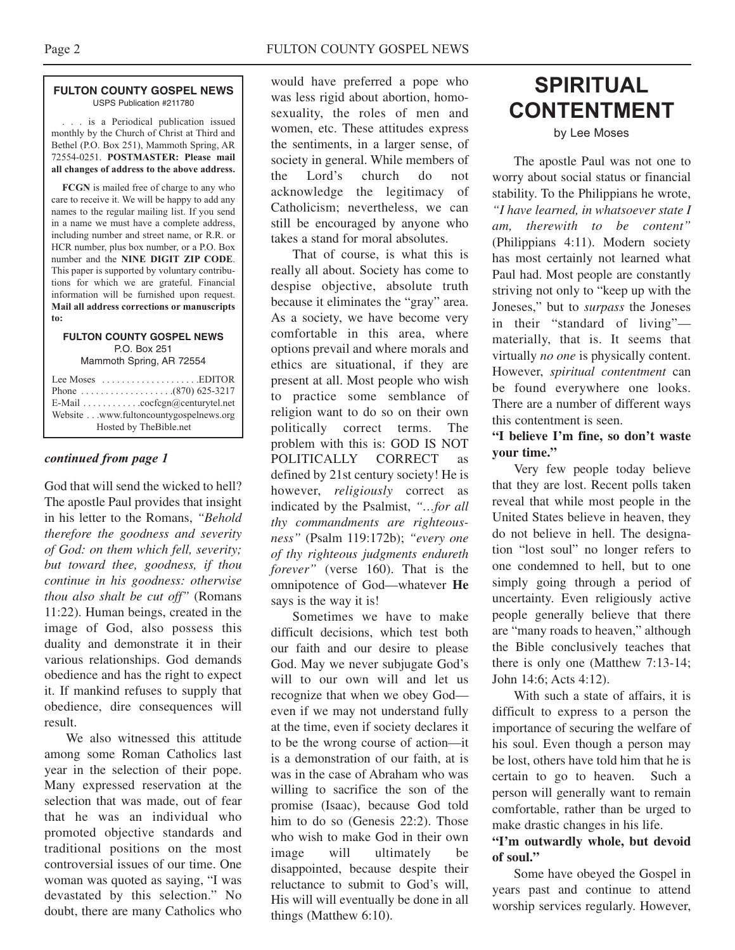#### **FULTON COUNTY GOSPEL NEWS** USPS Publication #211780

. . . is a Periodical publication issued monthly by the Church of Christ at Third and Bethel (P.O. Box 251), Mammoth Spring, AR 72554-0251. **POSTMASTER: Please mail all changes of address to the above address.**

**FCGN** is mailed free of charge to any who care to receive it. We will be happy to add any names to the regular mailing list. If you send in a name we must have a complete address, including number and street name, or R.R. or HCR number, plus box number, or a P.O. Box number and the **NINE DIGIT ZIP CODE**. This paper is supported by voluntary contributions for which we are grateful. Financial information will be furnished upon request. **Mail all address corrections or manuscripts to:**

#### **FULTON COUNTY GOSPEL NEWS** P.O. Box 251

Mammoth Spring, AR 72554

| Lee Moses $\dots\dots\dots\dots\dots\dots$ . EDITOR         |
|-------------------------------------------------------------|
| E-Mail $\ldots \ldots \ldots \ldots$ cocfcgn@centurytel.net |
| Website www.fultoncountygospelnews.org                      |
| Hosted by TheBible.net                                      |

### *continued from page 1*

God that will send the wicked to hell? The apostle Paul provides that insight in his letter to the Romans, *"Behold therefore the goodness and severity of God: on them which fell, severity; but toward thee, goodness, if thou continue in his goodness: otherwise thou also shalt be cut off"* (Romans 11:22). Human beings, created in the image of God, also possess this duality and demonstrate it in their various relationships. God demands obedience and has the right to expect it. If mankind refuses to supply that obedience, dire consequences will result.

We also witnessed this attitude among some Roman Catholics last year in the selection of their pope. Many expressed reservation at the selection that was made, out of fear that he was an individual who promoted objective standards and traditional positions on the most controversial issues of our time. One woman was quoted as saying, "I was devastated by this selection." No doubt, there are many Catholics who

would have preferred a pope who was less rigid about abortion, homosexuality, the roles of men and women, etc. These attitudes express the sentiments, in a larger sense, of society in general. While members of the Lord's church do not acknowledge the legitimacy of Catholicism; nevertheless, we can still be encouraged by anyone who takes a stand for moral absolutes.

That of course, is what this is really all about. Society has come to despise objective, absolute truth because it eliminates the "gray" area. As a society, we have become very comfortable in this area, where options prevail and where morals and ethics are situational, if they are present at all. Most people who wish to practice some semblance of religion want to do so on their own politically correct terms. The problem with this is: GOD IS NOT POLITICALLY CORRECT as defined by 21st century society! He is however, *religiously* correct as indicated by the Psalmist, *"…for all thy commandments are righteousness"* (Psalm 119:172b); *"every one of thy righteous judgments endureth forever"* (verse 160). That is the omnipotence of God—whatever **He** says is the way it is!

Sometimes we have to make difficult decisions, which test both our faith and our desire to please God. May we never subjugate God's will to our own will and let us recognize that when we obey God even if we may not understand fully at the time, even if society declares it to be the wrong course of action—it is a demonstration of our faith, at is was in the case of Abraham who was willing to sacrifice the son of the promise (Isaac), because God told him to do so (Genesis 22:2). Those who wish to make God in their own image will ultimately be disappointed, because despite their reluctance to submit to God's will, His will will eventually be done in all things (Matthew 6:10).

# **SPIRITUAL CONTENTMENT**

by Lee Moses

The apostle Paul was not one to worry about social status or financial stability. To the Philippians he wrote, *"I have learned, in whatsoever state I am, therewith to be content"* (Philippians 4:11). Modern society has most certainly not learned what Paul had. Most people are constantly striving not only to "keep up with the Joneses," but to *surpass* the Joneses in their "standard of living" materially, that is. It seems that virtually *no one* is physically content. However, *spiritual contentment* can be found everywhere one looks. There are a number of different ways this contentment is seen.

## **"I believe I'm fine, so don't waste your time."**

Very few people today believe that they are lost. Recent polls taken reveal that while most people in the United States believe in heaven, they do not believe in hell. The designation "lost soul" no longer refers to one condemned to hell, but to one simply going through a period of uncertainty. Even religiously active people generally believe that there are "many roads to heaven," although the Bible conclusively teaches that there is only one (Matthew 7:13-14; John 14:6; Acts 4:12).

With such a state of affairs, it is difficult to express to a person the importance of securing the welfare of his soul. Even though a person may be lost, others have told him that he is certain to go to heaven. Such a person will generally want to remain comfortable, rather than be urged to make drastic changes in his life.

## **"I'm outwardly whole, but devoid of soul."**

Some have obeyed the Gospel in years past and continue to attend worship services regularly. However,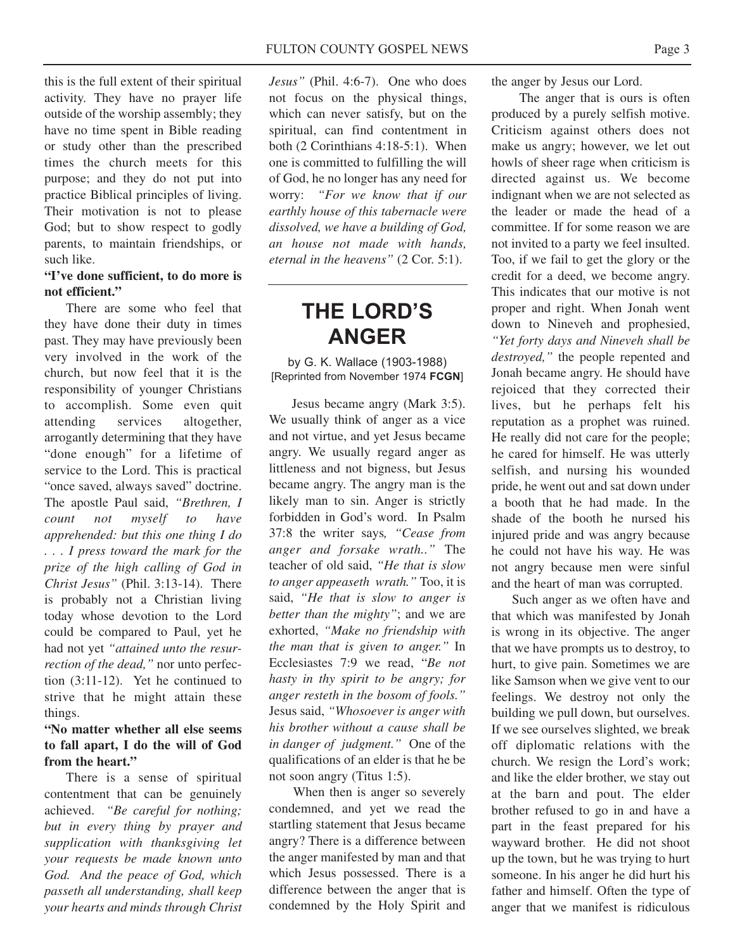this is the full extent of their spiritual activity. They have no prayer life outside of the worship assembly; they have no time spent in Bible reading or study other than the prescribed times the church meets for this purpose; and they do not put into practice Biblical principles of living. Their motivation is not to please God; but to show respect to godly parents, to maintain friendships, or such like.

### **"I've done sufficient, to do more is not efficient."**

There are some who feel that they have done their duty in times past. They may have previously been very involved in the work of the church, but now feel that it is the responsibility of younger Christians to accomplish. Some even quit attending services altogether, arrogantly determining that they have "done enough" for a lifetime of service to the Lord. This is practical "once saved, always saved" doctrine. The apostle Paul said, *"Brethren, I count not myself to have apprehended: but this one thing I do . . . I press toward the mark for the prize of the high calling of God in Christ Jesus"* (Phil. 3:13-14). There is probably not a Christian living today whose devotion to the Lord could be compared to Paul, yet he had not yet *"attained unto the resurrection of the dead,"* nor unto perfection (3:11-12). Yet he continued to strive that he might attain these things.

## **"No matter whether all else seems to fall apart, I do the will of God from the heart."**

There is a sense of spiritual contentment that can be genuinely achieved. *"Be careful for nothing; but in every thing by prayer and supplication with thanksgiving let your requests be made known unto God. And the peace of God, which passeth all understanding, shall keep your hearts and minds through Christ* *Jesus"* (Phil. 4:6-7). One who does not focus on the physical things, which can never satisfy, but on the spiritual, can find contentment in both (2 Corinthians 4:18-5:1). When one is committed to fulfilling the will of God, he no longer has any need for worry: *"For we know that if our earthly house of this tabernacle were dissolved, we have a building of God, an house not made with hands, eternal in the heavens"* (2 Cor. 5:1).

# **THE LORD'S ANGER**

by G. K. Wallace (1903-1988) [Reprinted from November 1974 **FCGN**]

Jesus became angry (Mark 3:5). We usually think of anger as a vice and not virtue, and yet Jesus became angry. We usually regard anger as littleness and not bigness, but Jesus became angry. The angry man is the likely man to sin. Anger is strictly forbidden in God's word. In Psalm 37:8 the writer says*, "Cease from anger and forsake wrath.."* The teacher of old said, *"He that is slow to anger appeaseth wrath."* Too, it is said, *"He that is slow to anger is better than the mighty"*; and we are exhorted, *"Make no friendship with the man that is given to anger."* In Ecclesiastes 7:9 we read, "*Be not hasty in thy spirit to be angry; for anger resteth in the bosom of fools."* Jesus said, *"Whosoever is anger with his brother without a cause shall be in danger of judgment."* One of the qualifications of an elder is that he be not soon angry (Titus 1:5).

When then is anger so severely condemned, and yet we read the startling statement that Jesus became angry? There is a difference between the anger manifested by man and that which Jesus possessed. There is a difference between the anger that is condemned by the Holy Spirit and

the anger by Jesus our Lord.

The anger that is ours is often produced by a purely selfish motive. Criticism against others does not make us angry; however, we let out howls of sheer rage when criticism is directed against us. We become indignant when we are not selected as the leader or made the head of a committee. If for some reason we are not invited to a party we feel insulted. Too, if we fail to get the glory or the credit for a deed, we become angry. This indicates that our motive is not proper and right. When Jonah went down to Nineveh and prophesied, *"Yet forty days and Nineveh shall be destroyed,"* the people repented and Jonah became angry. He should have rejoiced that they corrected their lives, but he perhaps felt his reputation as a prophet was ruined. He really did not care for the people; he cared for himself. He was utterly selfish, and nursing his wounded pride, he went out and sat down under a booth that he had made. In the shade of the booth he nursed his injured pride and was angry because he could not have his way. He was not angry because men were sinful and the heart of man was corrupted.

Such anger as we often have and that which was manifested by Jonah is wrong in its objective. The anger that we have prompts us to destroy, to hurt, to give pain. Sometimes we are like Samson when we give vent to our feelings. We destroy not only the building we pull down, but ourselves. If we see ourselves slighted, we break off diplomatic relations with the church. We resign the Lord's work; and like the elder brother, we stay out at the barn and pout. The elder brother refused to go in and have a part in the feast prepared for his wayward brother. He did not shoot up the town, but he was trying to hurt someone. In his anger he did hurt his father and himself. Often the type of anger that we manifest is ridiculous